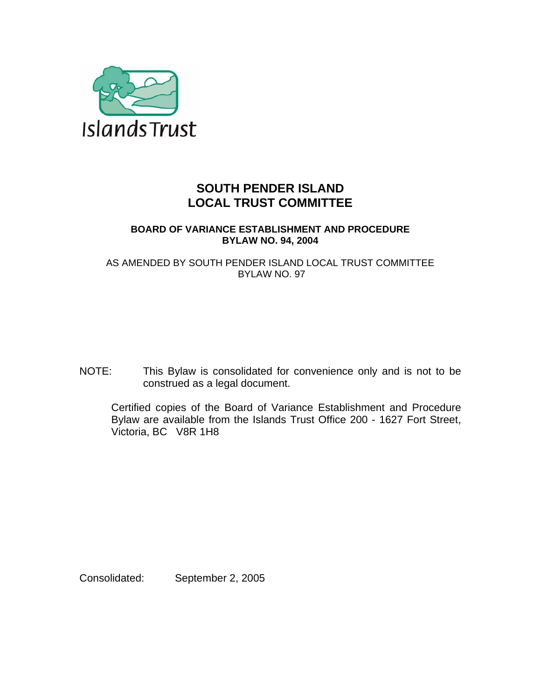

# **SOUTH PENDER ISLAND LOCAL TRUST COMMITTEE**

# **BOARD OF VARIANCE ESTABLISHMENT AND PROCEDURE BYLAW NO. 94, 2004**

AS AMENDED BY SOUTH PENDER ISLAND LOCAL TRUST COMMITTEE BYLAW NO. 97

NOTE: This Bylaw is consolidated for convenience only and is not to be construed as a legal document.

Certified copies of the Board of Variance Establishment and Procedure Bylaw are available from the Islands Trust Office 200 - 1627 Fort Street, Victoria, BC V8R 1H8

Consolidated: September 2, 2005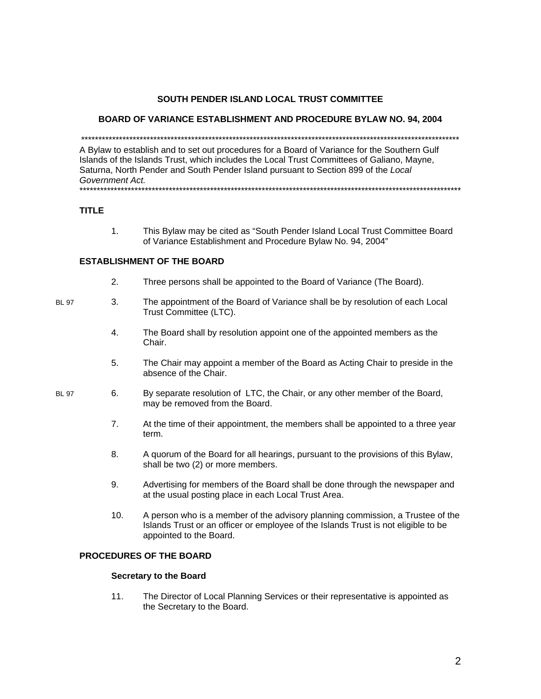## SOUTH PENDER ISLAND LOCAL TRUST COMMITTEE

### BOARD OF VARIANCE ESTABLISHMENT AND PROCEDURE BYLAW NO. 94, 2004

A Bylaw to establish and to set out procedures for a Board of Variance for the Southern Gulf Islands of the Islands Trust, which includes the Local Trust Committees of Galiano, Mayne, Saturna, North Pender and South Pender Island pursuant to Section 899 of the Local Government Act. 

### **TITLE**

 $1<sub>1</sub>$ This Bylaw may be cited as "South Pender Island Local Trust Committee Board of Variance Establishment and Procedure Bylaw No. 94, 2004"

## **ESTABLISHMENT OF THE BOARD**

 $2.$ Three persons shall be appointed to the Board of Variance (The Board).

#### **BL 97**

- $3<sub>1</sub>$ The appointment of the Board of Variance shall be by resolution of each Local Trust Committee (LTC).
	- $\overline{4}$ . The Board shall by resolution appoint one of the appointed members as the Chair.
	- 5. The Chair may appoint a member of the Board as Acting Chair to preside in the absence of the Chair.
- **BL 97** 6. By separate resolution of LTC, the Chair, or any other member of the Board, may be removed from the Board.
	- $7.$ At the time of their appointment, the members shall be appointed to a three year term.
	- A quorum of the Board for all hearings, pursuant to the provisions of this Bylaw, 8. shall be two (2) or more members.
	- 9. Advertising for members of the Board shall be done through the newspaper and at the usual posting place in each Local Trust Area.
	- $10.$ A person who is a member of the advisory planning commission, a Trustee of the Islands Trust or an officer or employee of the Islands Trust is not eligible to be appointed to the Board.

# PROCEDURES OF THE BOARD

### **Secretary to the Board**

 $11.$ The Director of Local Planning Services or their representative is appointed as the Secretary to the Board.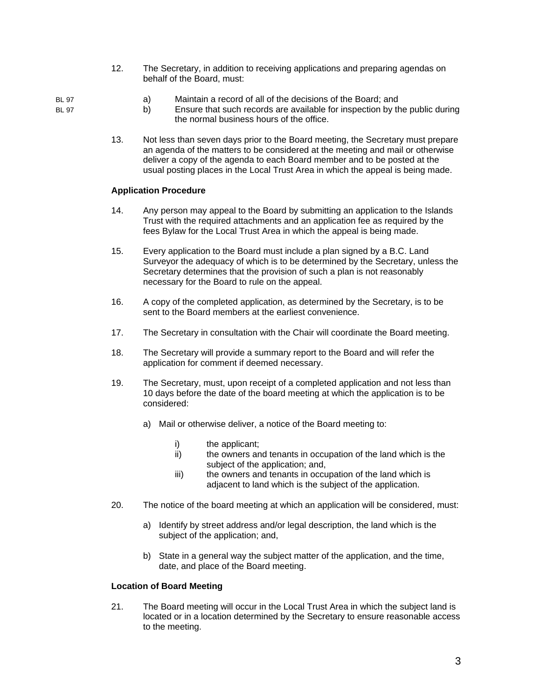12. The Secretary, in addition to receiving applications and preparing agendas on behalf of the Board, must:

# BL 97 a) Maintain a record of all of the decisions of the Board; and BL 97 b) Ensure that such records are available for inspection by the public during the normal business hours of the office.

13. Not less than seven days prior to the Board meeting, the Secretary must prepare an agenda of the matters to be considered at the meeting and mail or otherwise deliver a copy of the agenda to each Board member and to be posted at the usual posting places in the Local Trust Area in which the appeal is being made.

# **Application Procedure**

- 14. Any person may appeal to the Board by submitting an application to the Islands Trust with the required attachments and an application fee as required by the fees Bylaw for the Local Trust Area in which the appeal is being made.
- 15. Every application to the Board must include a plan signed by a B.C. Land Surveyor the adequacy of which is to be determined by the Secretary, unless the Secretary determines that the provision of such a plan is not reasonably necessary for the Board to rule on the appeal.
- 16. A copy of the completed application, as determined by the Secretary, is to be sent to the Board members at the earliest convenience.
- 17. The Secretary in consultation with the Chair will coordinate the Board meeting.
- 18. The Secretary will provide a summary report to the Board and will refer the application for comment if deemed necessary.
- 19. The Secretary, must, upon receipt of a completed application and not less than 10 days before the date of the board meeting at which the application is to be considered:
	- a) Mail or otherwise deliver, a notice of the Board meeting to:
		- i) the applicant;
		- ii) the owners and tenants in occupation of the land which is the subject of the application; and,
		- iii) the owners and tenants in occupation of the land which is adjacent to land which is the subject of the application.
- 20. The notice of the board meeting at which an application will be considered, must:
	- a) Identify by street address and/or legal description, the land which is the subject of the application; and,
	- b) State in a general way the subject matter of the application, and the time, date, and place of the Board meeting.

# **Location of Board Meeting**

21. The Board meeting will occur in the Local Trust Area in which the subject land is located or in a location determined by the Secretary to ensure reasonable access to the meeting.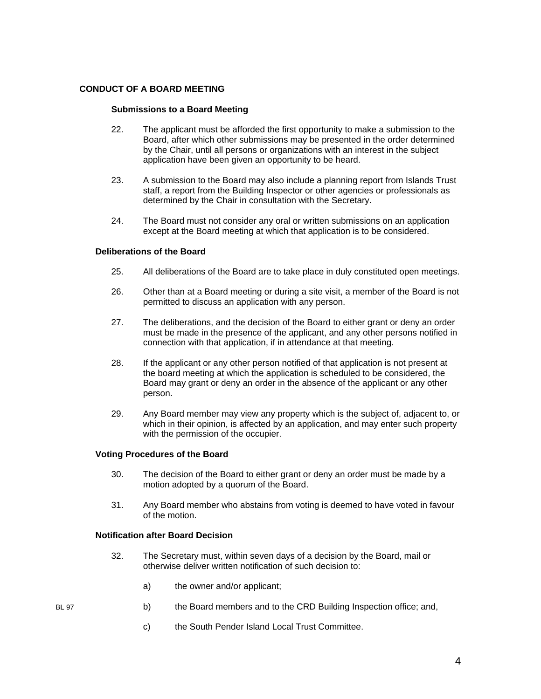### **CONDUCT OF A BOARD MEETING**

### **Submissions to a Board Meeting**

- 22. The applicant must be afforded the first opportunity to make a submission to the Board, after which other submissions may be presented in the order determined by the Chair, until all persons or organizations with an interest in the subject application have been given an opportunity to be heard.
- 23. A submission to the Board may also include a planning report from Islands Trust staff, a report from the Building Inspector or other agencies or professionals as determined by the Chair in consultation with the Secretary.
- 24. The Board must not consider any oral or written submissions on an application except at the Board meeting at which that application is to be considered.

### **Deliberations of the Board**

- 25. All deliberations of the Board are to take place in duly constituted open meetings.
- 26. Other than at a Board meeting or during a site visit, a member of the Board is not permitted to discuss an application with any person.
- 27. The deliberations, and the decision of the Board to either grant or deny an order must be made in the presence of the applicant, and any other persons notified in connection with that application, if in attendance at that meeting.
- 28. If the applicant or any other person notified of that application is not present at the board meeting at which the application is scheduled to be considered, the Board may grant or deny an order in the absence of the applicant or any other person.
- 29. Any Board member may view any property which is the subject of, adjacent to, or which in their opinion, is affected by an application, and may enter such property with the permission of the occupier.

### **Voting Procedures of the Board**

- 30. The decision of the Board to either grant or deny an order must be made by a motion adopted by a quorum of the Board.
- 31. Any Board member who abstains from voting is deemed to have voted in favour of the motion.

### **Notification after Board Decision**

- 32. The Secretary must, within seven days of a decision by the Board, mail or otherwise deliver written notification of such decision to:
	- a) the owner and/or applicant;
- BL 97 b) the Board members and to the CRD Building Inspection office; and,
	- c) the South Pender Island Local Trust Committee.